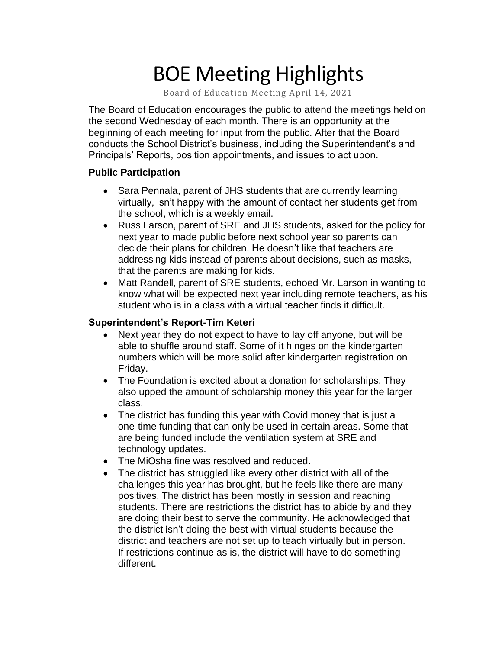# BOE Meeting Highlights

Board of Education Meeting April 14, 2021

 The Board of Education encourages the public to attend the meetings held on the second Wednesday of each month. There is an opportunity at the beginning of each meeting for input from the public. After that the Board conducts the School District's business, including the Superintendent's and Principals' Reports, position appointments, and issues to act upon.

#### **Public Participation**

- • Sara Pennala, parent of JHS students that are currently learning virtually, isn't happy with the amount of contact her students get from the school, which is a weekly email.
- • Russ Larson, parent of SRE and JHS students, asked for the policy for next year to made public before next school year so parents can decide their plans for children. He doesn't like that teachers are addressing kids instead of parents about decisions, such as masks, that the parents are making for kids.
- • Matt Randell, parent of SRE students, echoed Mr. Larson in wanting to know what will be expected next year including remote teachers, as his student who is in a class with a virtual teacher finds it difficult.

#### **Superintendent's Report-Tim Keteri**

- Next year they do not expect to have to lay off anyone, but will be able to shuffle around staff. Some of it hinges on the kindergarten numbers which will be more solid after kindergarten registration on Friday.
- The Foundation is excited about a donation for scholarships. They also upped the amount of scholarship money this year for the larger class.
- The district has funding this year with Covid money that is just a one-time funding that can only be used in certain areas. Some that are being funded include the ventilation system at SRE and technology updates.
- The MiOsha fine was resolved and reduced.
- The district has struggled like every other district with all of the challenges this year has brought, but he feels like there are many positives. The district has been mostly in session and reaching students. There are restrictions the district has to abide by and they are doing their best to serve the community. He acknowledged that the district isn't doing the best with virtual students because the district and teachers are not set up to teach virtually but in person. If restrictions continue as is, the district will have to do something different.